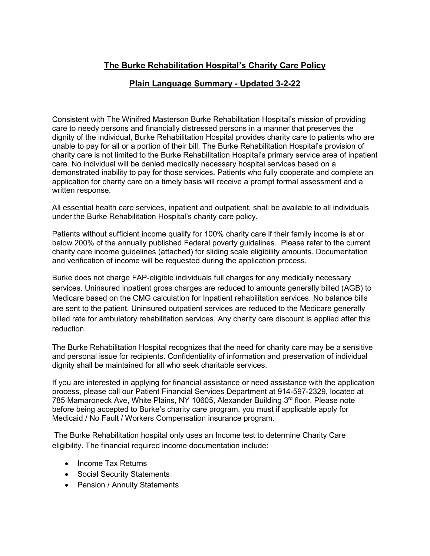## **The Burke Rehabilitation Hospital's Charity Care Policy**

## **Plain Language Summary - Updated 3-2-22**

Consistent with The Winifred Masterson Burke Rehabilitation Hospital's mission of providing care to needy persons and financially distressed persons in a manner that preserves the dignity of the individual, Burke Rehabilitation Hospital provides charity care to patients who are unable to pay for all or a portion of their bill. The Burke Rehabilitation Hospital's provision of charity care is not limited to the Burke Rehabilitation Hospital's primary service area of inpatient care. No individual will be denied medically necessary hospital services based on a demonstrated inability to pay for those services. Patients who fully cooperate and complete an application for charity care on a timely basis will receive a prompt formal assessment and a written response.

All essential health care services, inpatient and outpatient, shall be available to all individuals under the Burke Rehabilitation Hospital's charity care policy.

Patients without sufficient income qualify for 100% charity care if their family income is at or below 200% of the annually published Federal poverty guidelines. Please refer to the current charity care income guidelines (attached) for sliding scale eligibility amounts. Documentation and verification of income will be requested during the application process.

Burke does not charge FAP-eligible individuals full charges for any medically necessary services. Uninsured inpatient gross charges are reduced to amounts generally billed (AGB) to Medicare based on the CMG calculation for Inpatient rehabilitation services. No balance bills are sent to the patient. Uninsured outpatient services are reduced to the Medicare generally billed rate for ambulatory rehabilitation services. Any charity care discount is applied after this reduction.

The Burke Rehabilitation Hospital recognizes that the need for charity care may be a sensitive and personal issue for recipients. Confidentiality of information and preservation of individual dignity shall be maintained for all who seek charitable services.

If you are interested in applying for financial assistance or need assistance with the application process, please call our Patient Financial Services Department at 914-597-2329, located at 785 Mamaroneck Ave, White Plains, NY 10605, Alexander Building 3rd floor. Please note before being accepted to Burke's charity care program, you must if applicable apply for Medicaid / No Fault / Workers Compensation insurance program.

The Burke Rehabilitation hospital only uses an Income test to determine Charity Care eligibility. The financial required income documentation include:

- Income Tax Returns
- Social Security Statements
- Pension / Annuity Statements